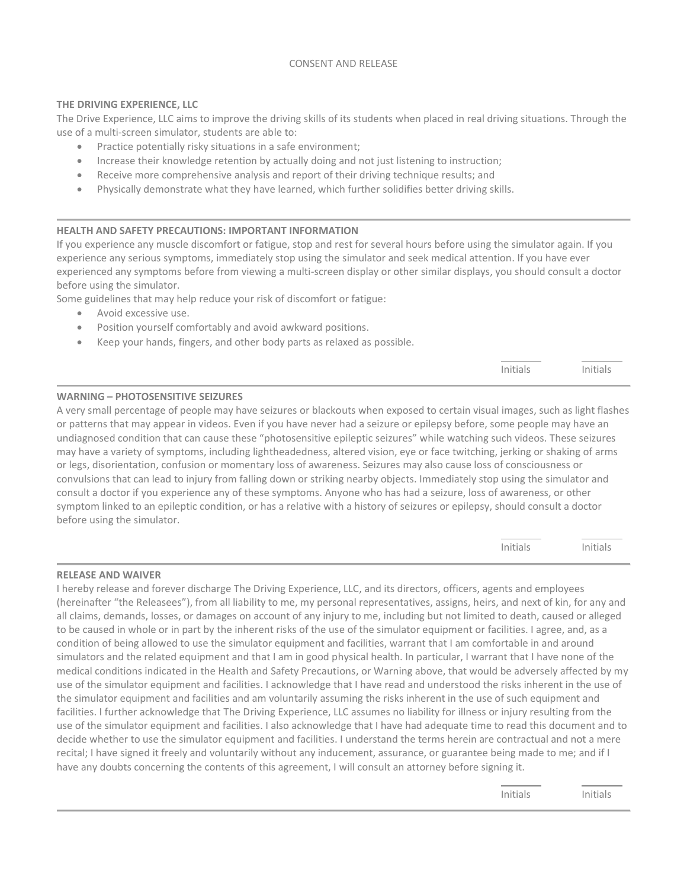## CONSENT AND RELEASE

## **THE DRIVING EXPERIENCE, LLC**

The Drive Experience, LLC aims to improve the driving skills of its students when placed in real driving situations. Through the use of a multi-screen simulator, students are able to:

- Practice potentially risky situations in a safe environment;
- Increase their knowledge retention by actually doing and not just listening to instruction;
- Receive more comprehensive analysis and report of their driving technique results; and
- Physically demonstrate what they have learned, which further solidifies better driving skills.

## **HEALTH AND SAFETY PRECAUTIONS: IMPORTANT INFORMATION**

If you experience any muscle discomfort or fatigue, stop and rest for several hours before using the simulator again. If you experience any serious symptoms, immediately stop using the simulator and seek medical attention. If you have ever experienced any symptoms before from viewing a multi-screen display or other similar displays, you should consult a doctor before using the simulator.

Some guidelines that may help reduce your risk of discomfort or fatigue:

- Avoid excessive use.
- Position yourself comfortably and avoid awkward positions.
- Keep your hands, fingers, and other body parts as relaxed as possible.

|  | $int^-$ |
|--|---------|
|  |         |

### **WARNING – PHOTOSENSITIVE SEIZURES**

A very small percentage of people may have seizures or blackouts when exposed to certain visual images, such as light flashes or patterns that may appear in videos. Even if you have never had a seizure or epilepsy before, some people may have an undiagnosed condition that can cause these "photosensitive epileptic seizures" while watching such videos. These seizures may have a variety of symptoms, including lightheadedness, altered vision, eye or face twitching, jerking or shaking of arms or legs, disorientation, confusion or momentary loss of awareness. Seizures may also cause loss of consciousness or convulsions that can lead to injury from falling down or striking nearby objects. Immediately stop using the simulator and consult a doctor if you experience any of these symptoms. Anyone who has had a seizure, loss of awareness, or other symptom linked to an epileptic condition, or has a relative with a history of seizures or epilepsy, should consult a doctor before using the simulator.

| $\sim$ 1.1 $-$<br>יוגודור<br>. | しきあります<br>itial. |
|--------------------------------|------------------|
|                                |                  |

#### **RELEASE AND WAIVER**

I hereby release and forever discharge The Driving Experience, LLC, and its directors, officers, agents and employees (hereinafter "the Releasees"), from all liability to me, my personal representatives, assigns, heirs, and next of kin, for any and all claims, demands, losses, or damages on account of any injury to me, including but not limited to death, caused or alleged to be caused in whole or in part by the inherent risks of the use of the simulator equipment or facilities. I agree, and, as a condition of being allowed to use the simulator equipment and facilities, warrant that I am comfortable in and around simulators and the related equipment and that I am in good physical health. In particular, I warrant that I have none of the medical conditions indicated in the Health and Safety Precautions, or Warning above, that would be adversely affected by my use of the simulator equipment and facilities. I acknowledge that I have read and understood the risks inherent in the use of the simulator equipment and facilities and am voluntarily assuming the risks inherent in the use of such equipment and facilities. I further acknowledge that The Driving Experience, LLC assumes no liability for illness or injury resulting from the use of the simulator equipment and facilities. I also acknowledge that I have had adequate time to read this document and to decide whether to use the simulator equipment and facilities. I understand the terms herein are contractual and not a mere recital; I have signed it freely and voluntarily without any inducement, assurance, or guarantee being made to me; and if I have any doubts concerning the contents of this agreement, I will consult an attorney before signing it.

Initials Initials